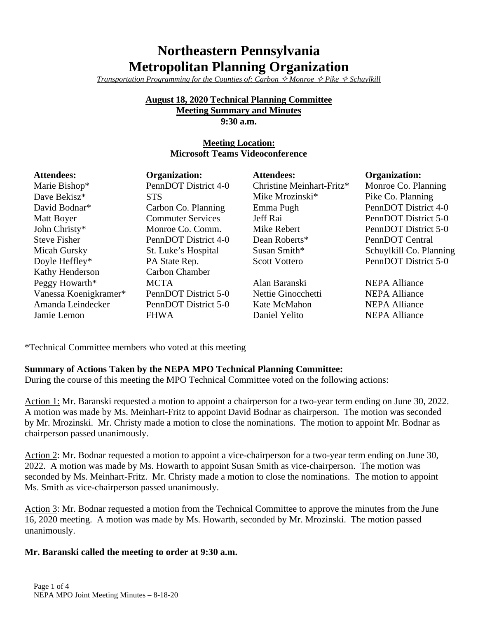# **Northeastern Pennsylvania Metropolitan Planning Organization**

*Transportation Programming for the Counties of: Carbon*  $\Diamond$  *Monroe*  $\Diamond$  *Pike*  $\Diamond$  *Schuylkill* 

#### **August 18, 2020 Technical Planning Committee Meeting Summary and Minutes 9:30 a.m.**

## **Meeting Location: Microsoft Teams Videoconference**

| <b>Attendees:</b>     | <b>Organization:</b>     | <b>Attendees:</b>         | <b>Organization:</b>    |
|-----------------------|--------------------------|---------------------------|-------------------------|
| Marie Bishop*         | PennDOT District 4-0     | Christine Meinhart-Fritz* | Monroe Co. Planning     |
| Dave Bekisz*          | <b>STS</b>               | Mike Mrozinski*           | Pike Co. Planning       |
| David Bodnar*         | Carbon Co. Planning      | Emma Pugh                 | PennDOT District 4-0    |
| Matt Boyer            | <b>Commuter Services</b> | Jeff Rai                  | PennDOT District 5-0    |
| John Christy*         | Monroe Co. Comm.         | Mike Rebert               | PennDOT District 5-0    |
| <b>Steve Fisher</b>   | PennDOT District 4-0     | Dean Roberts*             | PennDOT Central         |
| Micah Gursky          | St. Luke's Hospital      | Susan Smith*              | Schuylkill Co. Planning |
| Doyle Heffley*        | PA State Rep.            | <b>Scott Vottero</b>      | PennDOT District 5-0    |
| Kathy Henderson       | Carbon Chamber           |                           |                         |
| Peggy Howarth*        | <b>MCTA</b>              | Alan Baranski             | <b>NEPA Alliance</b>    |
| Vanessa Koenigkramer* | PennDOT District 5-0     | Nettie Ginocchetti        | <b>NEPA Alliance</b>    |
| Amanda Leindecker     | PennDOT District 5-0     | Kate McMahon              | <b>NEPA Alliance</b>    |
| Jamie Lemon           | <b>FHWA</b>              | Daniel Yelito             | <b>NEPA Alliance</b>    |

\*Technical Committee members who voted at this meeting

### **Summary of Actions Taken by the NEPA MPO Technical Planning Committee:**

During the course of this meeting the MPO Technical Committee voted on the following actions:

Action 1: Mr. Baranski requested a motion to appoint a chairperson for a two-year term ending on June 30, 2022. A motion was made by Ms. Meinhart-Fritz to appoint David Bodnar as chairperson. The motion was seconded by Mr. Mrozinski. Mr. Christy made a motion to close the nominations. The motion to appoint Mr. Bodnar as chairperson passed unanimously.

Action 2: Mr. Bodnar requested a motion to appoint a vice-chairperson for a two-year term ending on June 30, 2022. A motion was made by Ms. Howarth to appoint Susan Smith as vice-chairperson. The motion was seconded by Ms. Meinhart-Fritz. Mr. Christy made a motion to close the nominations. The motion to appoint Ms. Smith as vice-chairperson passed unanimously.

Action 3: Mr. Bodnar requested a motion from the Technical Committee to approve the minutes from the June 16, 2020 meeting. A motion was made by Ms. Howarth, seconded by Mr. Mrozinski. The motion passed unanimously.

#### **Mr. Baranski called the meeting to order at 9:30 a.m.**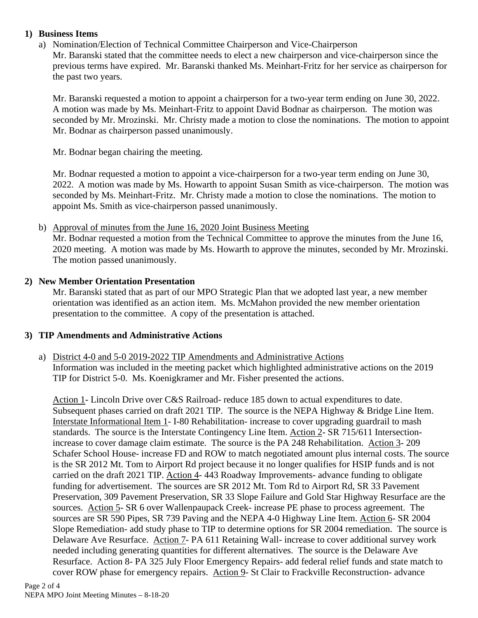### **1) Business Items**

### a) Nomination/Election of Technical Committee Chairperson and Vice-Chairperson Mr. Baranski stated that the committee needs to elect a new chairperson and vice-chairperson since the previous terms have expired. Mr. Baranski thanked Ms. Meinhart-Fritz for her service as chairperson for the past two years.

Mr. Baranski requested a motion to appoint a chairperson for a two-year term ending on June 30, 2022. A motion was made by Ms. Meinhart-Fritz to appoint David Bodnar as chairperson. The motion was seconded by Mr. Mrozinski. Mr. Christy made a motion to close the nominations. The motion to appoint Mr. Bodnar as chairperson passed unanimously.

Mr. Bodnar began chairing the meeting.

Mr. Bodnar requested a motion to appoint a vice-chairperson for a two-year term ending on June 30, 2022. A motion was made by Ms. Howarth to appoint Susan Smith as vice-chairperson. The motion was seconded by Ms. Meinhart-Fritz. Mr. Christy made a motion to close the nominations. The motion to appoint Ms. Smith as vice-chairperson passed unanimously.

#### b) Approval of minutes from the June 16, 2020 Joint Business Meeting

Mr. Bodnar requested a motion from the Technical Committee to approve the minutes from the June 16, 2020 meeting. A motion was made by Ms. Howarth to approve the minutes, seconded by Mr. Mrozinski. The motion passed unanimously.

#### **2) New Member Orientation Presentation**

Mr. Baranski stated that as part of our MPO Strategic Plan that we adopted last year, a new member orientation was identified as an action item. Ms. McMahon provided the new member orientation presentation to the committee. A copy of the presentation is attached.

### **3) TIP Amendments and Administrative Actions**

#### a) District 4-0 and 5-0 2019-2022 TIP Amendments and Administrative Actions Information was included in the meeting packet which highlighted administrative actions on the 2019 TIP for District 5-0. Ms. Koenigkramer and Mr. Fisher presented the actions.

Action 1- Lincoln Drive over C&S Railroad- reduce 185 down to actual expenditures to date. Subsequent phases carried on draft 2021 TIP. The source is the NEPA Highway & Bridge Line Item. Interstate Informational Item 1- I-80 Rehabilitation- increase to cover upgrading guardrail to mash standards. The source is the Interstate Contingency Line Item. Action 2- SR 715/611 Intersectionincrease to cover damage claim estimate. The source is the PA 248 Rehabilitation. Action 3- 209 Schafer School House- increase FD and ROW to match negotiated amount plus internal costs. The source is the SR 2012 Mt. Tom to Airport Rd project because it no longer qualifies for HSIP funds and is not carried on the draft 2021 TIP. Action 4- 443 Roadway Improvements- advance funding to obligate funding for advertisement. The sources are SR 2012 Mt. Tom Rd to Airport Rd, SR 33 Pavement Preservation, 309 Pavement Preservation, SR 33 Slope Failure and Gold Star Highway Resurface are the sources. Action 5- SR 6 over Wallenpaupack Creek- increase PE phase to process agreement. The sources are SR 590 Pipes, SR 739 Paving and the NEPA 4-0 Highway Line Item. Action 6- SR 2004 Slope Remediation- add study phase to TIP to determine options for SR 2004 remediation. The source is Delaware Ave Resurface. Action 7- PA 611 Retaining Wall- increase to cover additional survey work needed including generating quantities for different alternatives. The source is the Delaware Ave Resurface. Action 8- PA 325 July Floor Emergency Repairs- add federal relief funds and state match to cover ROW phase for emergency repairs. Action 9- St Clair to Frackville Reconstruction- advance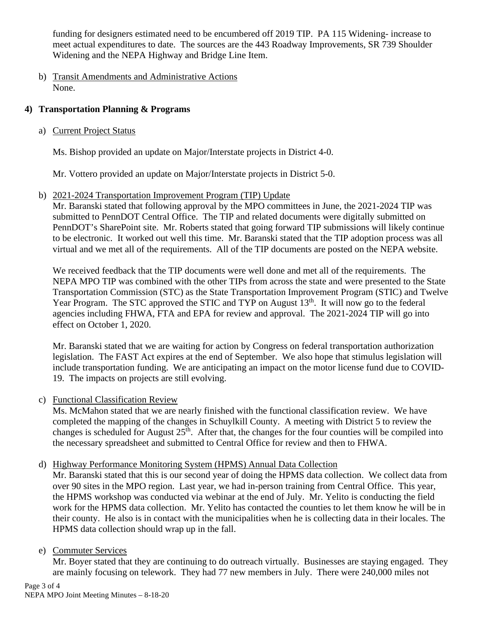funding for designers estimated need to be encumbered off 2019 TIP. PA 115 Widening- increase to meet actual expenditures to date. The sources are the 443 Roadway Improvements, SR 739 Shoulder Widening and the NEPA Highway and Bridge Line Item.

b) Transit Amendments and Administrative Actions None.

## **4) Transportation Planning & Programs**

a) Current Project Status

Ms. Bishop provided an update on Major/Interstate projects in District 4-0.

Mr. Vottero provided an update on Major/Interstate projects in District 5-0.

b) 2021-2024 Transportation Improvement Program (TIP) Update

Mr. Baranski stated that following approval by the MPO committees in June, the 2021-2024 TIP was submitted to PennDOT Central Office. The TIP and related documents were digitally submitted on PennDOT's SharePoint site. Mr. Roberts stated that going forward TIP submissions will likely continue to be electronic. It worked out well this time. Mr. Baranski stated that the TIP adoption process was all virtual and we met all of the requirements. All of the TIP documents are posted on the NEPA website.

We received feedback that the TIP documents were well done and met all of the requirements. The NEPA MPO TIP was combined with the other TIPs from across the state and were presented to the State Transportation Commission (STC) as the State Transportation Improvement Program (STIC) and Twelve Year Program. The STC approved the STIC and TYP on August  $13<sup>th</sup>$ . It will now go to the federal agencies including FHWA, FTA and EPA for review and approval. The 2021-2024 TIP will go into effect on October 1, 2020.

Mr. Baranski stated that we are waiting for action by Congress on federal transportation authorization legislation. The FAST Act expires at the end of September. We also hope that stimulus legislation will include transportation funding. We are anticipating an impact on the motor license fund due to COVID-19. The impacts on projects are still evolving.

c) Functional Classification Review

Ms. McMahon stated that we are nearly finished with the functional classification review. We have completed the mapping of the changes in Schuylkill County. A meeting with District 5 to review the changes is scheduled for August  $25<sup>th</sup>$ . After that, the changes for the four counties will be compiled into the necessary spreadsheet and submitted to Central Office for review and then to FHWA.

d) Highway Performance Monitoring System (HPMS) Annual Data Collection

Mr. Baranski stated that this is our second year of doing the HPMS data collection. We collect data from over 90 sites in the MPO region. Last year, we had in-person training from Central Office. This year, the HPMS workshop was conducted via webinar at the end of July. Mr. Yelito is conducting the field work for the HPMS data collection. Mr. Yelito has contacted the counties to let them know he will be in their county. He also is in contact with the municipalities when he is collecting data in their locales. The HPMS data collection should wrap up in the fall.

## e) Commuter Services

Mr. Boyer stated that they are continuing to do outreach virtually. Businesses are staying engaged. They are mainly focusing on telework. They had 77 new members in July. There were 240,000 miles not